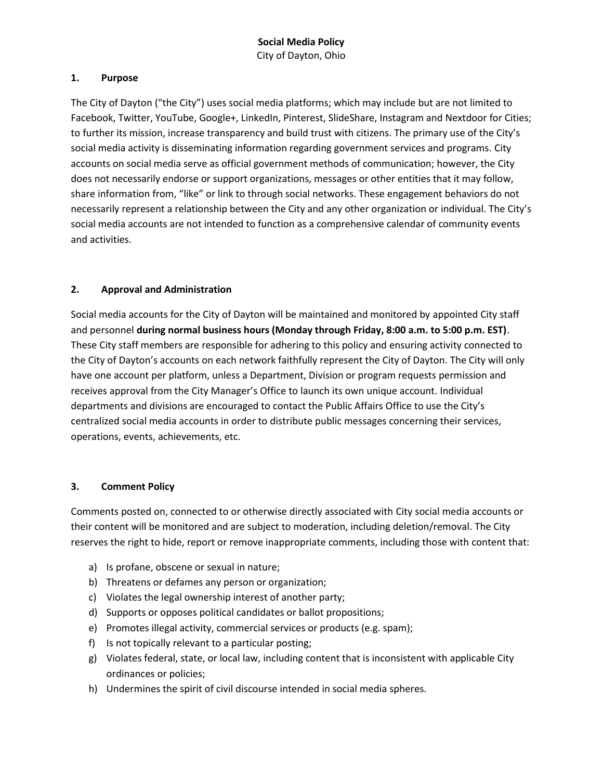## **1. Purpose**

The City of Dayton ("the City") uses social media platforms; which may include but are not limited to Facebook, Twitter, YouTube, Google+, LinkedIn, Pinterest, SlideShare, Instagram and Nextdoor for Cities; to further its mission, increase transparency and build trust with citizens. The primary use of the City's social media activity is disseminating information regarding government services and programs. City accounts on social media serve as official government methods of communication; however, the City does not necessarily endorse or support organizations, messages or other entities that it may follow, share information from, "like" or link to through social networks. These engagement behaviors do not necessarily represent a relationship between the City and any other organization or individual. The City's social media accounts are not intended to function as a comprehensive calendar of community events and activities.

## **2. Approval and Administration**

Social media accounts for the City of Dayton will be maintained and monitored by appointed City staff and personnel **during normal business hours (Monday through Friday, 8:00 a.m. to 5:00 p.m. EST)**. These City staff members are responsible for adhering to this policy and ensuring activity connected to the City of Dayton's accounts on each network faithfully represent the City of Dayton. The City will only have one account per platform, unless a Department, Division or program requests permission and receives approval from the City Manager's Office to launch its own unique account. Individual departments and divisions are encouraged to contact the Public Affairs Office to use the City's centralized social media accounts in order to distribute public messages concerning their services, operations, events, achievements, etc.

## **3. Comment Policy**

Comments posted on, connected to or otherwise directly associated with City social media accounts or their content will be monitored and are subject to moderation, including deletion/removal. The City reserves the right to hide, report or remove inappropriate comments, including those with content that:

- a) Is profane, obscene or sexual in nature;
- b) Threatens or defames any person or organization;
- c) Violates the legal ownership interest of another party;
- d) Supports or opposes political candidates or ballot propositions;
- e) Promotes illegal activity, commercial services or products (e.g. spam);
- f) Is not topically relevant to a particular posting;
- g) Violates federal, state, or local law, including content that is inconsistent with applicable City ordinances or policies;
- h) Undermines the spirit of civil discourse intended in social media spheres.